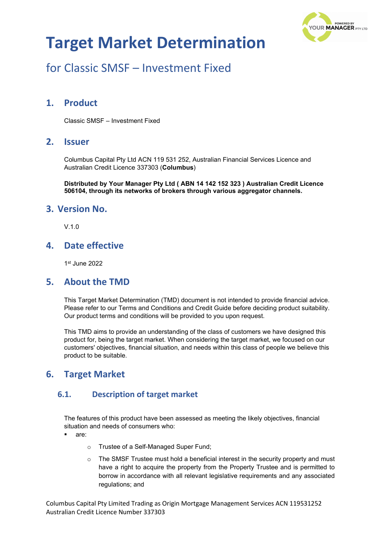

## for Classic SMSF – Investment Fixed

## **1. Product**

Classic SMSF – Investment Fixed

### **2. Issuer**

Columbus Capital Pty Ltd ACN 119 531 252, Australian Financial Services Licence and Australian Credit Licence 337303 (**Columbus**)

**Distributed by Your Manager Pty Ltd ( ABN 14 142 152 323 ) Australian Credit Licence 506104, through its networks of brokers through various aggregator channels.**

#### **3. Version No.**

 $V$  1.0

### **4. Date effective**

1st June 2022

#### **5. About the TMD**

This Target Market Determination (TMD) document is not intended to provide financial advice. Please refer to our Terms and Conditions and Credit Guide before deciding product suitability. Our product terms and conditions will be provided to you upon request.

This TMD aims to provide an understanding of the class of customers we have designed this product for, being the target market. When considering the target market, we focused on our customers' objectives, financial situation, and needs within this class of people we believe this product to be suitable.

## **6. Target Market**

#### **6.1. Description of target market**

The features of this product have been assessed as meeting the likely objectives, financial situation and needs of consumers who:

- are:
	- o Trustee of a Self-Managed Super Fund;
	- $\circ$  The SMSF Trustee must hold a beneficial interest in the security property and must have a right to acquire the property from the Property Trustee and is permitted to borrow in accordance with all relevant legislative requirements and any associated regulations; and

Columbus Capital Pty Limited Trading as Origin Mortgage Management Services ACN 119531252 Australian Credit Licence Number 337303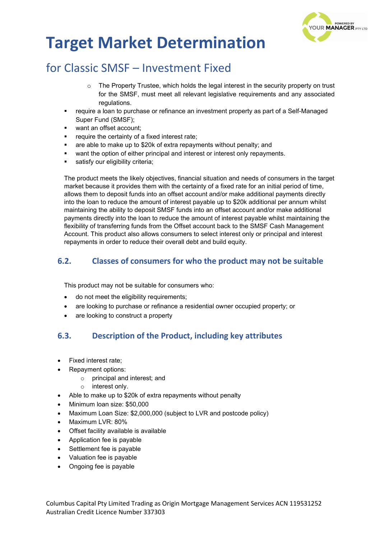

## for Classic SMSF – Investment Fixed

- $\circ$  The Property Trustee, which holds the legal interest in the security property on trust for the SMSF, must meet all relevant legislative requirements and any associated regulations.
- require a loan to purchase or refinance an investment property as part of a Self-Managed Super Fund (SMSF);
- want an offset account;
- require the certainty of a fixed interest rate;
- are able to make up to \$20k of extra repayments without penalty; and
- want the option of either principal and interest or interest only repayments.
- satisfy our eligibility criteria;

The product meets the likely objectives, financial situation and needs of consumers in the target market because it provides them with the certainty of a fixed rate for an initial period of time, allows them to deposit funds into an offset account and/or make additional payments directly into the loan to reduce the amount of interest payable up to \$20k additional per annum whilst maintaining the ability to deposit SMSF funds into an offset account and/or make additional payments directly into the loan to reduce the amount of interest payable whilst maintaining the flexibility of transferring funds from the Offset account back to the SMSF Cash Management Account. This product also allows consumers to select interest only or principal and interest repayments in order to reduce their overall debt and build equity.

#### **6.2. Classes of consumers for who the product may not be suitable**

This product may not be suitable for consumers who:

- do not meet the eligibility requirements;
- are looking to purchase or refinance a residential owner occupied property; or
- are looking to construct a property

### **6.3. Description of the Product, including key attributes**

- Fixed interest rate;
- Repayment options:
	- o principal and interest; and
	- o interest only.
- Able to make up to \$20k of extra repayments without penalty
- Minimum loan size: \$50,000
- Maximum Loan Size: \$2,000,000 (subject to LVR and postcode policy)
- Maximum LVR: 80%
- Offset facility available is available
- Application fee is payable
- Settlement fee is payable
- Valuation fee is payable
- Ongoing fee is payable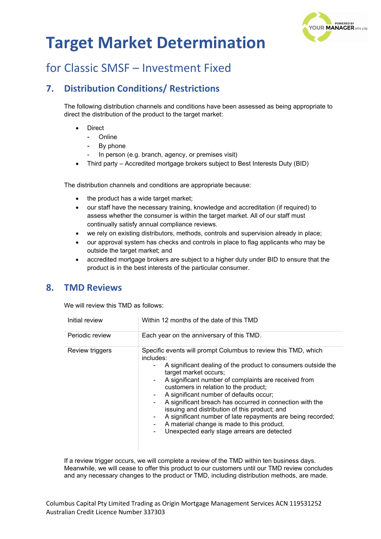

## for Classic SMSF – Investment Fixed

## **7. Distribution Conditions/ Restrictions**

The following distribution channels and conditions have been assessed as being appropriate to direct the distribution of the product to the target market:

- **Direct** 
	- **Online**
	- By phone
	- In person (e.g. branch, agency, or premises visit)
- Third party Accredited mortgage brokers subject to Best Interests Duty (BID)

The distribution channels and conditions are appropriate because:

- the product has a wide target market;
- our staff have the necessary training, knowledge and accreditation (if required) to assess whether the consumer is within the target market. All of our staff must continually satisfy annual compliance reviews.
- we rely on existing distributors, methods, controls and supervision already in place;
- our approval system has checks and controls in place to flag applicants who may be outside the target market; and
- accredited mortgage brokers are subject to a higher duty under BID to ensure that the product is in the best interests of the particular consumer.

### **8. TMD Reviews**

We will review this TMD as follows:

| Initial review  | Within 12 months of the date of this TMD                                                                                                                                                                                                                                                                                                                                                                                                                                                                                                                                                                                         |  |
|-----------------|----------------------------------------------------------------------------------------------------------------------------------------------------------------------------------------------------------------------------------------------------------------------------------------------------------------------------------------------------------------------------------------------------------------------------------------------------------------------------------------------------------------------------------------------------------------------------------------------------------------------------------|--|
| Periodic review | Each year on the anniversary of this TMD.                                                                                                                                                                                                                                                                                                                                                                                                                                                                                                                                                                                        |  |
| Review triggers | Specific events will prompt Columbus to review this TMD, which<br>includes:<br>A significant dealing of the product to consumers outside the<br>۰.<br>target market occurs;<br>A significant number of complaints are received from<br>$\sim$<br>customers in relation to the product;<br>A significant number of defaults occur;<br>۰<br>A significant breach has occurred in connection with the<br>۰.<br>issuing and distribution of this product; and<br>A significant number of late repayments are being recorded;<br>۰<br>A material change is made to this product.<br>Unexpected early stage arrears are detected<br>۰. |  |

If a review trigger occurs, we will complete a review of the TMD within ten business days. Meanwhile, we will cease to offer this product to our customers until our TMD review concludes and any necessary changes to the product or TMD, including distribution methods, are made.